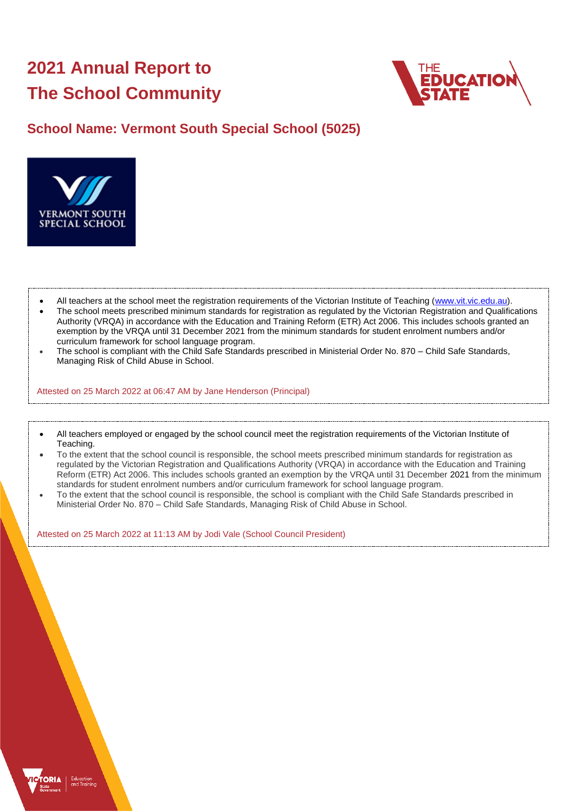# **2021 Annual Report to The School Community**



## **School Name: Vermont South Special School (5025)**



- All teachers at the school meet the registration requirements of the Victorian Institute of Teaching [\(www.vit.vic.edu.au\)](https://www.vit.vic.edu.au/).
- The school meets prescribed minimum standards for registration as regulated by the Victorian Registration and Qualifications Authority (VRQA) in accordance with the Education and Training Reform (ETR) Act 2006. This includes schools granted an exemption by the VRQA until 31 December 2021 from the minimum standards for student enrolment numbers and/or curriculum framework for school language program.
- The school is compliant with the Child Safe Standards prescribed in Ministerial Order No. 870 Child Safe Standards, Managing Risk of Child Abuse in School.

Attested on 25 March 2022 at 06:47 AM by Jane Henderson (Principal)

- All teachers employed or engaged by the school council meet the registration requirements of the Victorian Institute of Teaching.
- To the extent that the school council is responsible, the school meets prescribed minimum standards for registration as regulated by the Victorian Registration and Qualifications Authority (VRQA) in accordance with the Education and Training Reform (ETR) Act 2006. This includes schools granted an exemption by the VRQA until 31 December 2021 from the minimum standards for student enrolment numbers and/or curriculum framework for school language program.
- To the extent that the school council is responsible, the school is compliant with the Child Safe Standards prescribed in Ministerial Order No. 870 – Child Safe Standards, Managing Risk of Child Abuse in School.

Attested on 25 March 2022 at 11:13 AM by Jodi Vale (School Council President)

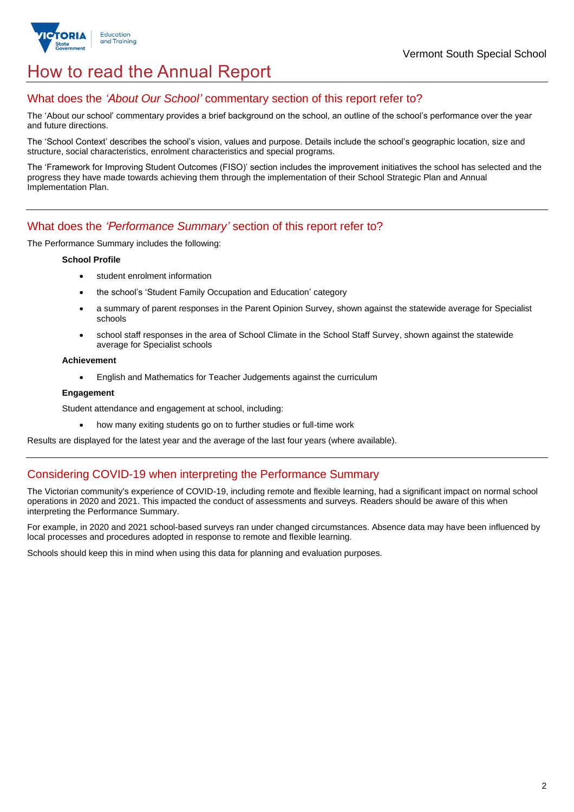

## How to read the Annual Report

## What does the *'About Our School'* commentary section of this report refer to?

The 'About our school' commentary provides a brief background on the school, an outline of the school's performance over the year and future directions.

The 'School Context' describes the school's vision, values and purpose. Details include the school's geographic location, size and structure, social characteristics, enrolment characteristics and special programs.

The 'Framework for Improving Student Outcomes (FISO)' section includes the improvement initiatives the school has selected and the progress they have made towards achieving them through the implementation of their School Strategic Plan and Annual Implementation Plan.

### What does the *'Performance Summary'* section of this report refer to?

The Performance Summary includes the following:

#### **School Profile**

- student enrolment information
- the school's 'Student Family Occupation and Education' category
- a summary of parent responses in the Parent Opinion Survey, shown against the statewide average for Specialist schools
- school staff responses in the area of School Climate in the School Staff Survey, shown against the statewide average for Specialist schools

#### **Achievement**

• English and Mathematics for Teacher Judgements against the curriculum

#### **Engagement**

Student attendance and engagement at school, including:

• how many exiting students go on to further studies or full-time work

Results are displayed for the latest year and the average of the last four years (where available).

### Considering COVID-19 when interpreting the Performance Summary

The Victorian community's experience of COVID-19, including remote and flexible learning, had a significant impact on normal school operations in 2020 and 2021. This impacted the conduct of assessments and surveys. Readers should be aware of this when interpreting the Performance Summary.

For example, in 2020 and 2021 school-based surveys ran under changed circumstances. Absence data may have been influenced by local processes and procedures adopted in response to remote and flexible learning.

Schools should keep this in mind when using this data for planning and evaluation purposes.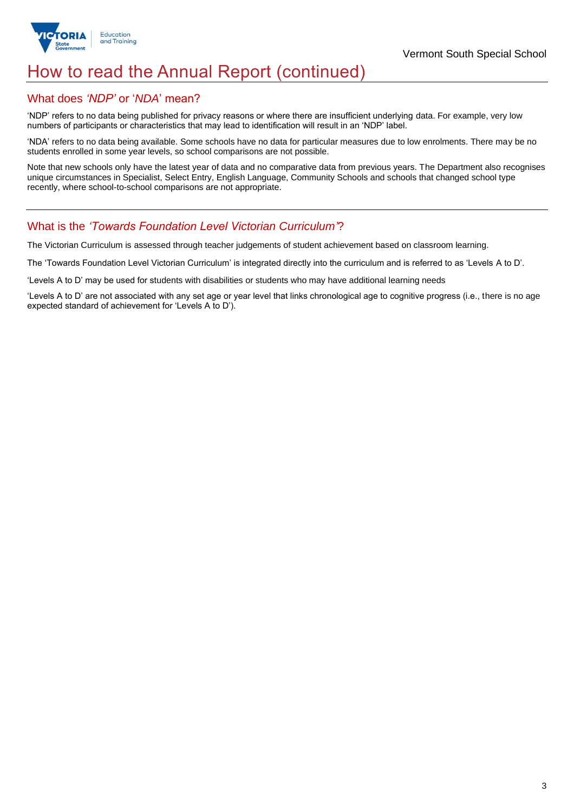

## How to read the Annual Report (continued)

## What does *'NDP'* or '*NDA*' mean?

'NDP' refers to no data being published for privacy reasons or where there are insufficient underlying data. For example, very low numbers of participants or characteristics that may lead to identification will result in an 'NDP' label.

'NDA' refers to no data being available. Some schools have no data for particular measures due to low enrolments. There may be no students enrolled in some year levels, so school comparisons are not possible.

Note that new schools only have the latest year of data and no comparative data from previous years. The Department also recognises unique circumstances in Specialist, Select Entry, English Language, Community Schools and schools that changed school type recently, where school-to-school comparisons are not appropriate.

## What is the *'Towards Foundation Level Victorian Curriculum'*?

The Victorian Curriculum is assessed through teacher judgements of student achievement based on classroom learning.

The 'Towards Foundation Level Victorian Curriculum' is integrated directly into the curriculum and is referred to as 'Levels A to D'.

'Levels A to D' may be used for students with disabilities or students who may have additional learning needs

'Levels A to D' are not associated with any set age or year level that links chronological age to cognitive progress (i.e., there is no age expected standard of achievement for 'Levels A to D').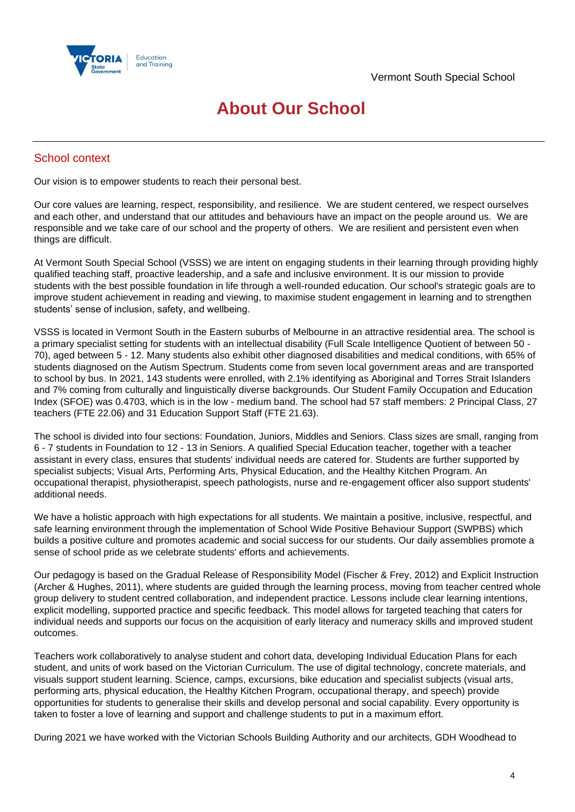

## **About Our School**

## School context

Our vision is to empower students to reach their personal best.

Our core values are learning, respect, responsibility, and resilience. We are student centered, we respect ourselves and each other, and understand that our attitudes and behaviours have an impact on the people around us. We are responsible and we take care of our school and the property of others. We are resilient and persistent even when things are difficult.

At Vermont South Special School (VSSS) we are intent on engaging students in their learning through providing highly qualified teaching staff, proactive leadership, and a safe and inclusive environment. It is our mission to provide students with the best possible foundation in life through a well-rounded education. Our school's strategic goals are to improve student achievement in reading and viewing, to maximise student engagement in learning and to strengthen students' sense of inclusion, safety, and wellbeing.

VSSS is located in Vermont South in the Eastern suburbs of Melbourne in an attractive residential area. The school is a primary specialist setting for students with an intellectual disability (Full Scale Intelligence Quotient of between 50 - 70), aged between 5 - 12. Many students also exhibit other diagnosed disabilities and medical conditions, with 65% of students diagnosed on the Autism Spectrum. Students come from seven local government areas and are transported to school by bus. In 2021, 143 students were enrolled, with 2.1% identifying as Aboriginal and Torres Strait Islanders and 7% coming from culturally and linguistically diverse backgrounds. Our Student Family Occupation and Education Index (SFOE) was 0.4703, which is in the low - medium band. The school had 57 staff members: 2 Principal Class, 27 teachers (FTE 22.06) and 31 Education Support Staff (FTE 21.63).

The school is divided into four sections: Foundation, Juniors, Middles and Seniors. Class sizes are small, ranging from 6 - 7 students in Foundation to 12 - 13 in Seniors. A qualified Special Education teacher, together with a teacher assistant in every class, ensures that students' individual needs are catered for. Students are further supported by specialist subjects; Visual Arts, Performing Arts, Physical Education, and the Healthy Kitchen Program. An occupational therapist, physiotherapist, speech pathologists, nurse and re-engagement officer also support students' additional needs.

We have a holistic approach with high expectations for all students. We maintain a positive, inclusive, respectful, and safe learning environment through the implementation of School Wide Positive Behaviour Support (SWPBS) which builds a positive culture and promotes academic and social success for our students. Our daily assemblies promote a sense of school pride as we celebrate students' efforts and achievements.

Our pedagogy is based on the Gradual Release of Responsibility Model (Fischer & Frey, 2012) and Explicit Instruction (Archer & Hughes, 2011), where students are guided through the learning process, moving from teacher centred whole group delivery to student centred collaboration, and independent practice. Lessons include clear learning intentions, explicit modelling, supported practice and specific feedback. This model allows for targeted teaching that caters for individual needs and supports our focus on the acquisition of early literacy and numeracy skills and improved student outcomes.

Teachers work collaboratively to analyse student and cohort data, developing Individual Education Plans for each student, and units of work based on the Victorian Curriculum. The use of digital technology, concrete materials, and visuals support student learning. Science, camps, excursions, bike education and specialist subjects (visual arts, performing arts, physical education, the Healthy Kitchen Program, occupational therapy, and speech) provide opportunities for students to generalise their skills and develop personal and social capability. Every opportunity is taken to foster a love of learning and support and challenge students to put in a maximum effort.

During 2021 we have worked with the Victorian Schools Building Authority and our architects, GDH Woodhead to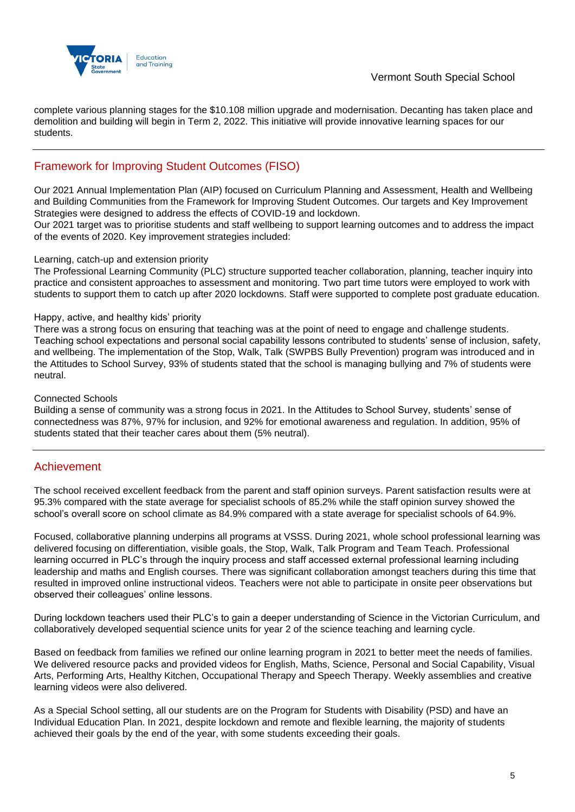

complete various planning stages for the \$10.108 million upgrade and modernisation. Decanting has taken place and demolition and building will begin in Term 2, 2022. This initiative will provide innovative learning spaces for our students.

## Framework for Improving Student Outcomes (FISO)

Our 2021 Annual Implementation Plan (AIP) focused on Curriculum Planning and Assessment, Health and Wellbeing and Building Communities from the Framework for Improving Student Outcomes. Our targets and Key Improvement Strategies were designed to address the effects of COVID-19 and lockdown.

Our 2021 target was to prioritise students and staff wellbeing to support learning outcomes and to address the impact of the events of 2020. Key improvement strategies included:

#### Learning, catch-up and extension priority

The Professional Learning Community (PLC) structure supported teacher collaboration, planning, teacher inquiry into practice and consistent approaches to assessment and monitoring. Two part time tutors were employed to work with students to support them to catch up after 2020 lockdowns. Staff were supported to complete post graduate education.

#### Happy, active, and healthy kids' priority

There was a strong focus on ensuring that teaching was at the point of need to engage and challenge students. Teaching school expectations and personal social capability lessons contributed to students' sense of inclusion, safety, and wellbeing. The implementation of the Stop, Walk, Talk (SWPBS Bully Prevention) program was introduced and in the Attitudes to School Survey, 93% of students stated that the school is managing bullying and 7% of students were neutral.

#### Connected Schools

Building a sense of community was a strong focus in 2021. In the Attitudes to School Survey, students' sense of connectedness was 87%, 97% for inclusion, and 92% for emotional awareness and regulation. In addition, 95% of students stated that their teacher cares about them (5% neutral).

### Achievement

The school received excellent feedback from the parent and staff opinion surveys. Parent satisfaction results were at 95.3% compared with the state average for specialist schools of 85.2% while the staff opinion survey showed the school's overall score on school climate as 84.9% compared with a state average for specialist schools of 64.9%.

Focused, collaborative planning underpins all programs at VSSS. During 2021, whole school professional learning was delivered focusing on differentiation, visible goals, the Stop, Walk, Talk Program and Team Teach. Professional learning occurred in PLC's through the inquiry process and staff accessed external professional learning including leadership and maths and English courses. There was significant collaboration amongst teachers during this time that resulted in improved online instructional videos. Teachers were not able to participate in onsite peer observations but observed their colleagues' online lessons.

During lockdown teachers used their PLC's to gain a deeper understanding of Science in the Victorian Curriculum, and collaboratively developed sequential science units for year 2 of the science teaching and learning cycle.

Based on feedback from families we refined our online learning program in 2021 to better meet the needs of families. We delivered resource packs and provided videos for English, Maths, Science, Personal and Social Capability, Visual Arts, Performing Arts, Healthy Kitchen, Occupational Therapy and Speech Therapy. Weekly assemblies and creative learning videos were also delivered.

As a Special School setting, all our students are on the Program for Students with Disability (PSD) and have an Individual Education Plan. In 2021, despite lockdown and remote and flexible learning, the majority of students achieved their goals by the end of the year, with some students exceeding their goals.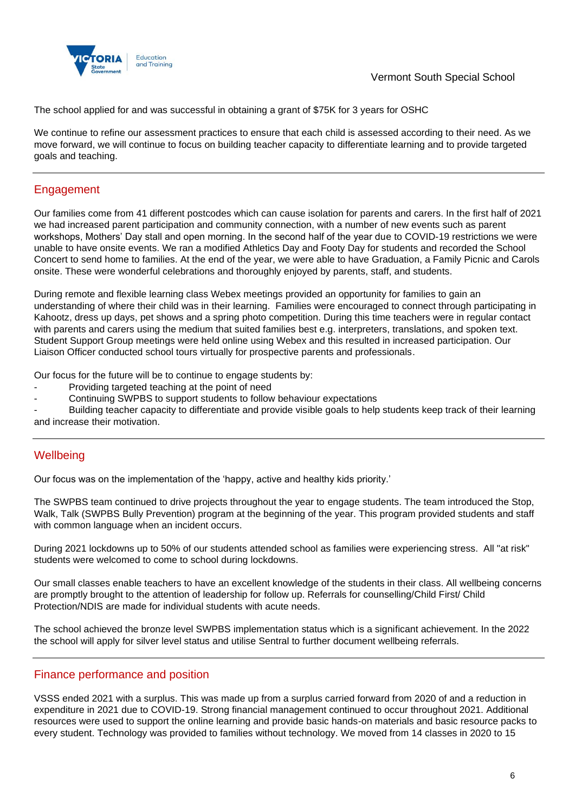

The school applied for and was successful in obtaining a grant of \$75K for 3 years for OSHC

We continue to refine our assessment practices to ensure that each child is assessed according to their need. As we move forward, we will continue to focus on building teacher capacity to differentiate learning and to provide targeted goals and teaching.

## Engagement

Our families come from 41 different postcodes which can cause isolation for parents and carers. In the first half of 2021 we had increased parent participation and community connection, with a number of new events such as parent workshops, Mothers' Day stall and open morning. In the second half of the year due to COVID-19 restrictions we were unable to have onsite events. We ran a modified Athletics Day and Footy Day for students and recorded the School Concert to send home to families. At the end of the year, we were able to have Graduation, a Family Picnic and Carols onsite. These were wonderful celebrations and thoroughly enjoyed by parents, staff, and students.

During remote and flexible learning class Webex meetings provided an opportunity for families to gain an understanding of where their child was in their learning. Families were encouraged to connect through participating in Kahootz, dress up days, pet shows and a spring photo competition. During this time teachers were in regular contact with parents and carers using the medium that suited families best e.g. interpreters, translations, and spoken text. Student Support Group meetings were held online using Webex and this resulted in increased participation. Our Liaison Officer conducted school tours virtually for prospective parents and professionals.

Our focus for the future will be to continue to engage students by:

- Providing targeted teaching at the point of need
- Continuing SWPBS to support students to follow behaviour expectations

- Building teacher capacity to differentiate and provide visible goals to help students keep track of their learning and increase their motivation.

## **Wellbeing**

Our focus was on the implementation of the 'happy, active and healthy kids priority.'

The SWPBS team continued to drive projects throughout the year to engage students. The team introduced the Stop, Walk, Talk (SWPBS Bully Prevention) program at the beginning of the year. This program provided students and staff with common language when an incident occurs.

During 2021 lockdowns up to 50% of our students attended school as families were experiencing stress. All "at risk" students were welcomed to come to school during lockdowns.

Our small classes enable teachers to have an excellent knowledge of the students in their class. All wellbeing concerns are promptly brought to the attention of leadership for follow up. Referrals for counselling/Child First/ Child Protection/NDIS are made for individual students with acute needs.

The school achieved the bronze level SWPBS implementation status which is a significant achievement. In the 2022 the school will apply for silver level status and utilise Sentral to further document wellbeing referrals.

### Finance performance and position

VSSS ended 2021 with a surplus. This was made up from a surplus carried forward from 2020 of and a reduction in expenditure in 2021 due to COVID-19. Strong financial management continued to occur throughout 2021. Additional resources were used to support the online learning and provide basic hands-on materials and basic resource packs to every student. Technology was provided to families without technology. We moved from 14 classes in 2020 to 15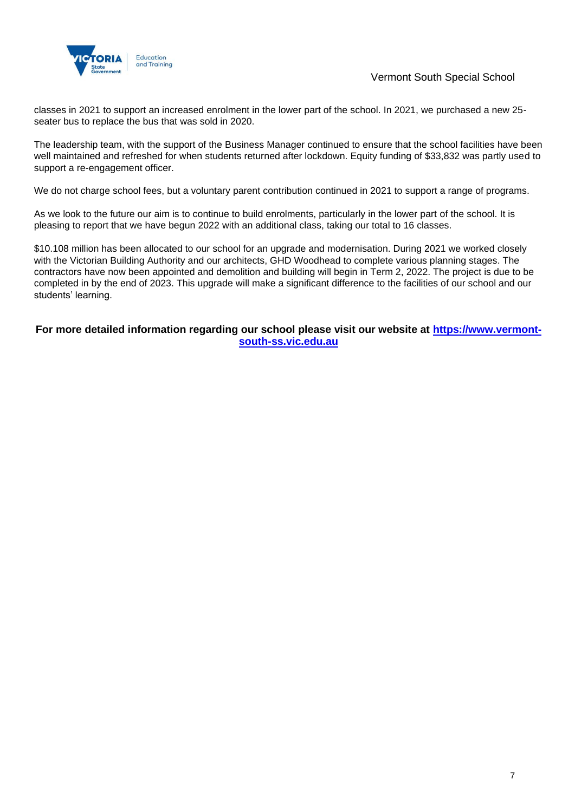

classes in 2021 to support an increased enrolment in the lower part of the school. In 2021, we purchased a new 25 seater bus to replace the bus that was sold in 2020.

The leadership team, with the support of the Business Manager continued to ensure that the school facilities have been well maintained and refreshed for when students returned after lockdown. Equity funding of \$33,832 was partly used to support a re-engagement officer.

We do not charge school fees, but a voluntary parent contribution continued in 2021 to support a range of programs.

As we look to the future our aim is to continue to build enrolments, particularly in the lower part of the school. It is pleasing to report that we have begun 2022 with an additional class, taking our total to 16 classes.

\$10.108 million has been allocated to our school for an upgrade and modernisation. During 2021 we worked closely with the Victorian Building Authority and our architects, GHD Woodhead to complete various planning stages. The contractors have now been appointed and demolition and building will begin in Term 2, 2022. The project is due to be completed in by the end of 2023. This upgrade will make a significant difference to the facilities of our school and our students' learning.

**For more detailed information regarding our school please visit our website at [https://www.vermont](https://www.vermont-south-ss.vic.edu.au/)[south-ss.vic.edu.au](https://www.vermont-south-ss.vic.edu.au/)**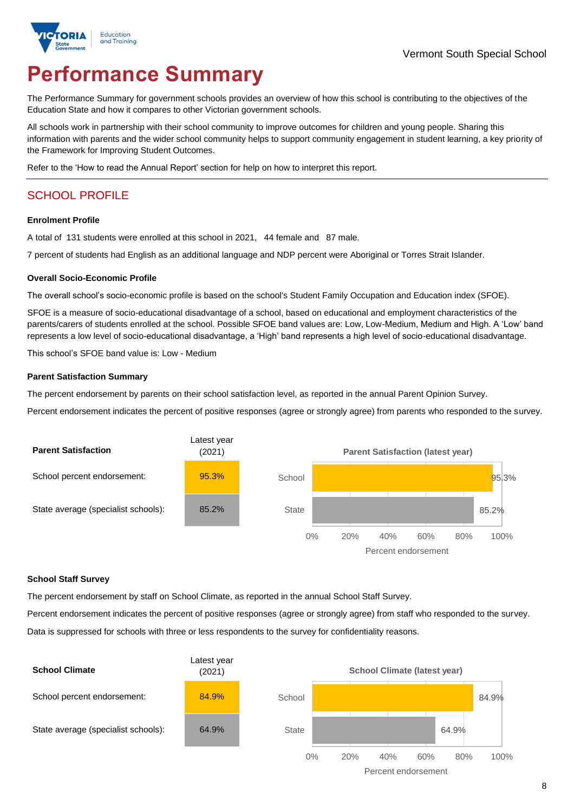# **Performance Summary**

The Performance Summary for government schools provides an overview of how this school is contributing to the objectives of the Education State and how it compares to other Victorian government schools.

All schools work in partnership with their school community to improve outcomes for children and young people. Sharing this information with parents and the wider school community helps to support community engagement in student learning, a key priority of the Framework for Improving Student Outcomes.

Refer to the 'How to read the Annual Report' section for help on how to interpret this report.

## SCHOOL PROFILE

#### **Enrolment Profile**

A total of 131 students were enrolled at this school in 2021, 44 female and 87 male.

7 percent of students had English as an additional language and NDP percent were Aboriginal or Torres Strait Islander.

#### **Overall Socio-Economic Profile**

The overall school's socio-economic profile is based on the school's Student Family Occupation and Education index (SFOE).

SFOE is a measure of socio-educational disadvantage of a school, based on educational and employment characteristics of the parents/carers of students enrolled at the school. Possible SFOE band values are: Low, Low-Medium, Medium and High. A 'Low' band represents a low level of socio-educational disadvantage, a 'High' band represents a high level of socio-educational disadvantage.

This school's SFOE band value is: Low - Medium

#### **Parent Satisfaction Summary**

The percent endorsement by parents on their school satisfaction level, as reported in the annual Parent Opinion Survey.

Percent endorsement indicates the percent of positive responses (agree or strongly agree) from parents who responded to the survey.



#### **School Staff Survey**

The percent endorsement by staff on School Climate, as reported in the annual School Staff Survey.

Percent endorsement indicates the percent of positive responses (agree or strongly agree) from staff who responded to the survey. Data is suppressed for schools with three or less respondents to the survey for confidentiality reasons.

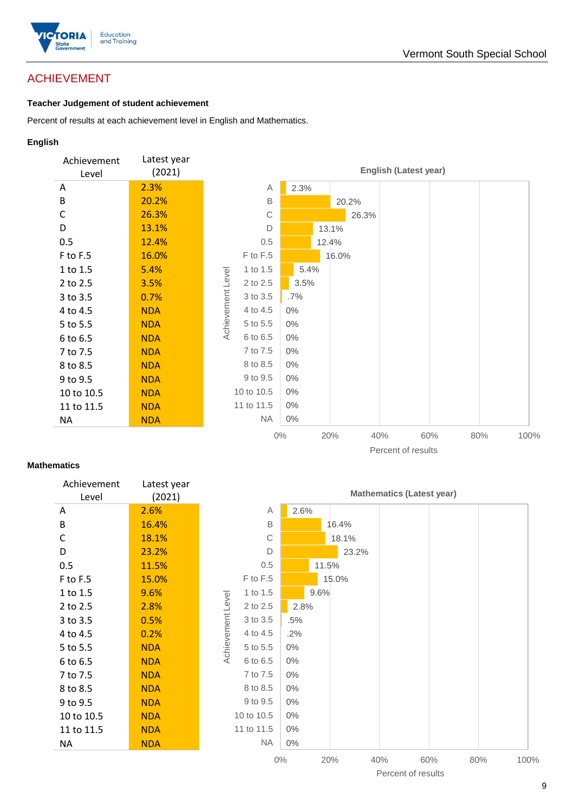

## ACHIEVEMENT

#### **Teacher Judgement of student achievement**

Percent of results at each achievement level in English and Mathematics.

#### **English**



#### **Mathematics**

| Achievement<br>Level | Latest year<br>(2021) |
|----------------------|-----------------------|
| Α                    | 2.6%                  |
| B                    | 16.4%                 |
| C                    | 18.1%                 |
| D                    | 23.2%                 |
| 0.5                  | 11.5%                 |
| F to F.5             | 15.0%                 |
| 1 to 1.5             | 9.6%                  |
| 2 to 2.5             | 2.8%                  |
| 3 to 3.5             | 0.5%                  |
| 4 to 4.5             | $0.2\%$               |
| 5 to 5.5             | <b>NDA</b>            |
| 6 to 6.5             | NDA                   |
| 7 to 7.5             | NDA                   |
| 8 to 8.5             | <b>NDA</b>            |
| 9 to 9.5             | NDA                   |
| 10 to 10.5           | NDA                   |
| 11 to 11.5           | NDA                   |
| ΝA                   | NDA                   |
|                      |                       |



9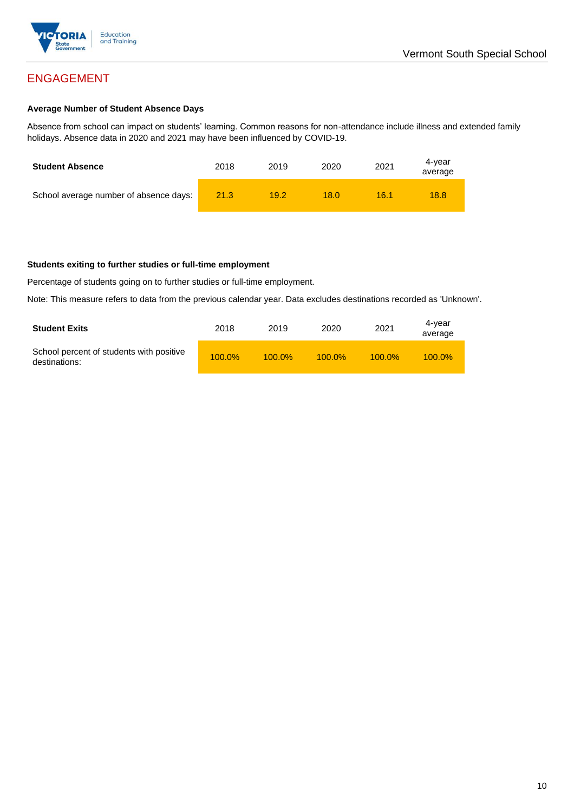

## ENGAGEMENT

#### **Average Number of Student Absence Days**

Absence from school can impact on students' learning. Common reasons for non-attendance include illness and extended family holidays. Absence data in 2020 and 2021 may have been influenced by COVID-19.

| <b>Student Absence</b>                 | 2018 | 2019 | 2020 | 2021 | 4-vear<br>average |
|----------------------------------------|------|------|------|------|-------------------|
| School average number of absence days: | 21.3 | 19.2 | 18.0 | 16.1 | 18.8              |

#### **Students exiting to further studies or full-time employment**

Percentage of students going on to further studies or full-time employment.

Note: This measure refers to data from the previous calendar year. Data excludes destinations recorded as 'Unknown'.

| <b>Student Exits</b>                                      | 2018      | 2019      | 2020      | 2021      | 4-year<br>average |
|-----------------------------------------------------------|-----------|-----------|-----------|-----------|-------------------|
| School percent of students with positive<br>destinations: | $100.0\%$ | $100.0\%$ | $100.0\%$ | $100.0\%$ | $100.0\%$         |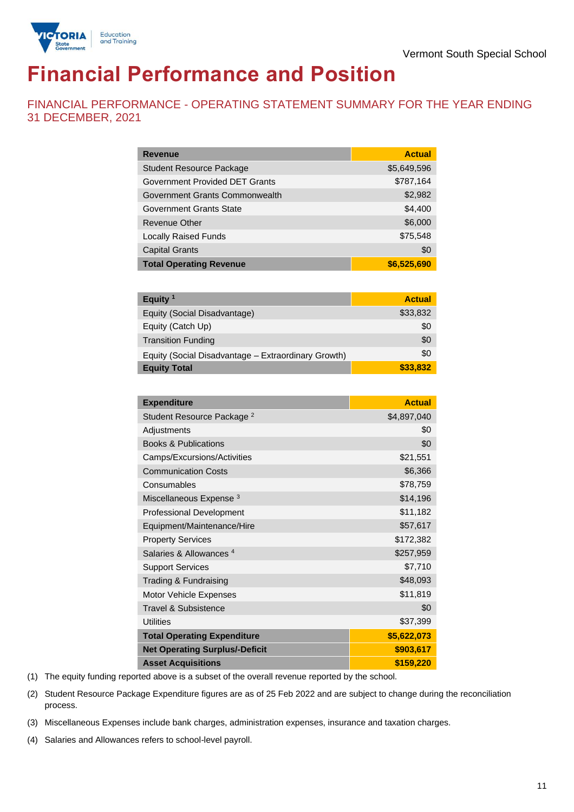

# **Financial Performance and Position**

FINANCIAL PERFORMANCE - OPERATING STATEMENT SUMMARY FOR THE YEAR ENDING 31 DECEMBER, 2021

| <b>Revenue</b>                  | <b>Actual</b> |
|---------------------------------|---------------|
| <b>Student Resource Package</b> | \$5,649,596   |
| Government Provided DET Grants  | \$787,164     |
| Government Grants Commonwealth  | \$2,982       |
| Government Grants State         | \$4,400       |
| Revenue Other                   | \$6,000       |
| <b>Locally Raised Funds</b>     | \$75,548      |
| <b>Capital Grants</b>           | \$0           |
| <b>Total Operating Revenue</b>  | \$6,525,690   |

| Equity $1$                                          | <b>Actual</b> |
|-----------------------------------------------------|---------------|
| Equity (Social Disadvantage)                        | \$33,832      |
| Equity (Catch Up)                                   | \$0           |
| <b>Transition Funding</b>                           | \$0           |
| Equity (Social Disadvantage - Extraordinary Growth) | \$0           |
| <b>Equity Total</b>                                 | \$33,832      |

| <b>Expenditure</b>                    | <b>Actual</b> |
|---------------------------------------|---------------|
| Student Resource Package <sup>2</sup> | \$4,897,040   |
| Adjustments                           | \$0           |
| <b>Books &amp; Publications</b>       | \$0           |
| Camps/Excursions/Activities           | \$21,551      |
| <b>Communication Costs</b>            | \$6,366       |
| Consumables                           | \$78,759      |
| Miscellaneous Expense <sup>3</sup>    | \$14,196      |
| <b>Professional Development</b>       | \$11,182      |
| Equipment/Maintenance/Hire            | \$57,617      |
| <b>Property Services</b>              | \$172,382     |
| Salaries & Allowances <sup>4</sup>    | \$257,959     |
| <b>Support Services</b>               | \$7,710       |
| Trading & Fundraising                 | \$48,093      |
| <b>Motor Vehicle Expenses</b>         | \$11,819      |
| Travel & Subsistence                  | \$0           |
| <b>Utilities</b>                      | \$37,399      |
| <b>Total Operating Expenditure</b>    | \$5,622,073   |
| <b>Net Operating Surplus/-Deficit</b> | \$903,617     |
| <b>Asset Acquisitions</b>             | \$159,220     |

(1) The equity funding reported above is a subset of the overall revenue reported by the school.

(2) Student Resource Package Expenditure figures are as of 25 Feb 2022 and are subject to change during the reconciliation process.

(3) Miscellaneous Expenses include bank charges, administration expenses, insurance and taxation charges.

(4) Salaries and Allowances refers to school-level payroll.